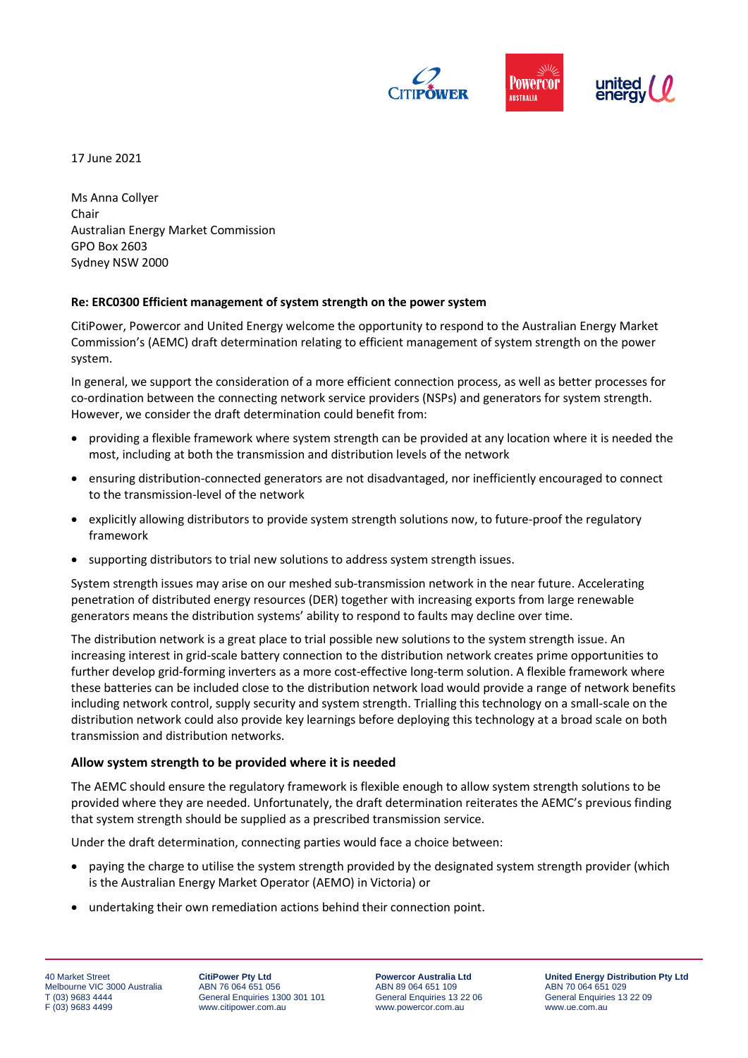

17 June 2021

Ms Anna Collyer Chair Australian Energy Market Commission GPO Box 2603 Sydney NSW 2000

## **Re: ERC0300 Efficient management of system strength on the power system**

CitiPower, Powercor and United Energy welcome the opportunity to respond to the Australian Energy Market Commission's (AEMC) draft determination relating to efficient management of system strength on the power system.

In general, we support the consideration of a more efficient connection process, as well as better processes for co-ordination between the connecting network service providers (NSPs) and generators for system strength. However, we consider the draft determination could benefit from:

- providing a flexible framework where system strength can be provided at any location where it is needed the most, including at both the transmission and distribution levels of the network
- ensuring distribution-connected generators are not disadvantaged, nor inefficiently encouraged to connect to the transmission-level of the network
- explicitly allowing distributors to provide system strength solutions now, to future-proof the regulatory framework
- supporting distributors to trial new solutions to address system strength issues.

System strength issues may arise on our meshed sub-transmission network in the near future. Accelerating penetration of distributed energy resources (DER) together with increasing exports from large renewable generators means the distribution systems' ability to respond to faults may decline over time.

The distribution network is a great place to trial possible new solutions to the system strength issue. An increasing interest in grid-scale battery connection to the distribution network creates prime opportunities to further develop grid-forming inverters as a more cost-effective long-term solution. A flexible framework where these batteries can be included close to the distribution network load would provide a range of network benefits including network control, supply security and system strength. Trialling this technology on a small-scale on the distribution network could also provide key learnings before deploying this technology at a broad scale on both transmission and distribution networks.

## **Allow system strength to be provided where it is needed**

The AEMC should ensure the regulatory framework is flexible enough to allow system strength solutions to be provided where they are needed. Unfortunately, the draft determination reiterates the AEMC's previous finding that system strength should be supplied as a prescribed transmission service.

Under the draft determination, connecting parties would face a choice between:

- paying the charge to utilise the system strength provided by the designated system strength provider (which is the Australian Energy Market Operator (AEMO) in Victoria) or
- undertaking their own remediation actions behind their connection point.

**CitiPower Pty Ltd** ABN 76 064 651 056 General Enquiries 1300 301 101 www.citipower.com.au

**Powercor Australia Ltd** ABN 89 064 651 109 General Enquiries 13 22 06 www.powercor.com.au

**United Energy Distribution Pty Ltd** ABN 70 064 651 029 General Enquiries 13 22 09 www.ue.com.au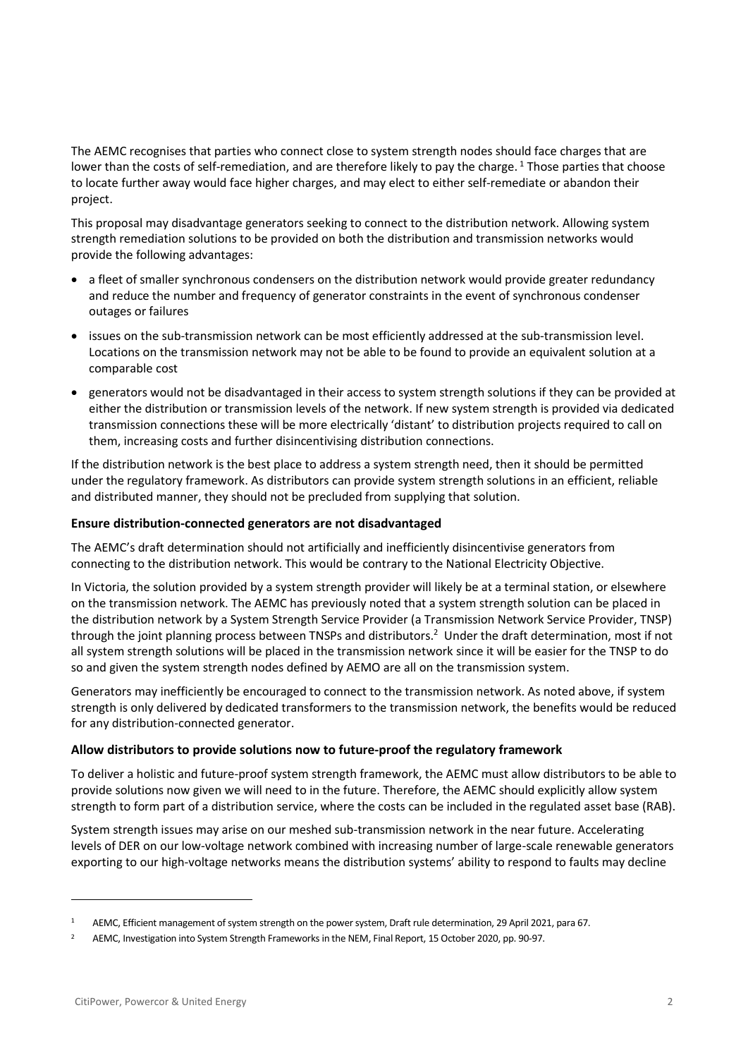The AEMC recognises that parties who connect close to system strength nodes should face charges that are lower than the costs of self-remediation, and are therefore likely to pay the charge.<sup>1</sup> Those parties that choose to locate further away would face higher charges, and may elect to either self-remediate or abandon their project.

This proposal may disadvantage generators seeking to connect to the distribution network. Allowing system strength remediation solutions to be provided on both the distribution and transmission networks would provide the following advantages:

- a fleet of smaller synchronous condensers on the distribution network would provide greater redundancy and reduce the number and frequency of generator constraints in the event of synchronous condenser outages or failures
- issues on the sub-transmission network can be most efficiently addressed at the sub-transmission level. Locations on the transmission network may not be able to be found to provide an equivalent solution at a comparable cost
- generators would not be disadvantaged in their access to system strength solutions if they can be provided at either the distribution or transmission levels of the network. If new system strength is provided via dedicated transmission connections these will be more electrically 'distant' to distribution projects required to call on them, increasing costs and further disincentivising distribution connections.

If the distribution network is the best place to address a system strength need, then it should be permitted under the regulatory framework. As distributors can provide system strength solutions in an efficient, reliable and distributed manner, they should not be precluded from supplying that solution.

# **Ensure distribution-connected generators are not disadvantaged**

The AEMC's draft determination should not artificially and inefficiently disincentivise generators from connecting to the distribution network. This would be contrary to the National Electricity Objective.

In Victoria, the solution provided by a system strength provider will likely be at a terminal station, or elsewhere on the transmission network. The AEMC has previously noted that a system strength solution can be placed in the distribution network by a System Strength Service Provider (a Transmission Network Service Provider, TNSP) through the joint planning process between TNSPs and distributors.<sup>2</sup> Under the draft determination, most if not all system strength solutions will be placed in the transmission network since it will be easier for the TNSP to do so and given the system strength nodes defined by AEMO are all on the transmission system.

Generators may inefficiently be encouraged to connect to the transmission network. As noted above, if system strength is only delivered by dedicated transformers to the transmission network, the benefits would be reduced for any distribution-connected generator.

## **Allow distributors to provide solutions now to future-proof the regulatory framework**

To deliver a holistic and future-proof system strength framework, the AEMC must allow distributors to be able to provide solutions now given we will need to in the future. Therefore, the AEMC should explicitly allow system strength to form part of a distribution service, where the costs can be included in the regulated asset base (RAB).

System strength issues may arise on our meshed sub-transmission network in the near future. Accelerating levels of DER on our low-voltage network combined with increasing number of large-scale renewable generators exporting to our high-voltage networks means the distribution systems' ability to respond to faults may decline

<sup>1</sup> AEMC, Efficient management of system strength on the power system, Draft rule determination, 29 April 2021, para 67.

<sup>2</sup> AEMC, Investigation into System Strength Frameworks in the NEM, Final Report, 15 October 2020, pp. 90-97.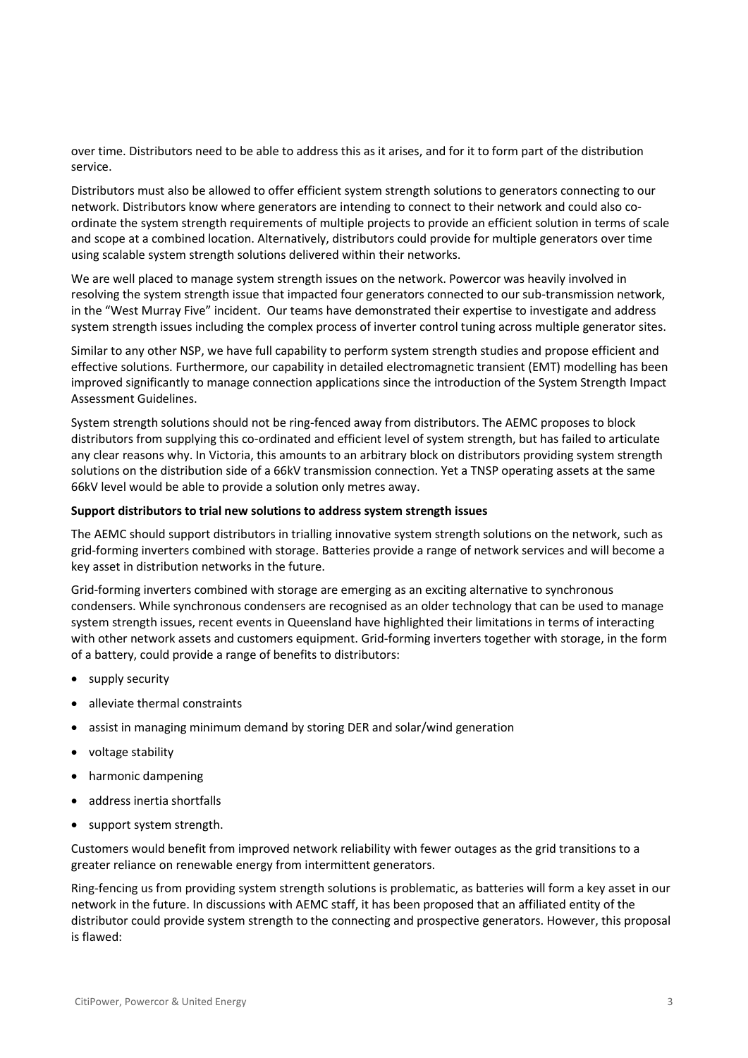over time. Distributors need to be able to address this as it arises, and for it to form part of the distribution service.

Distributors must also be allowed to offer efficient system strength solutions to generators connecting to our network. Distributors know where generators are intending to connect to their network and could also coordinate the system strength requirements of multiple projects to provide an efficient solution in terms of scale and scope at a combined location. Alternatively, distributors could provide for multiple generators over time using scalable system strength solutions delivered within their networks.

We are well placed to manage system strength issues on the network. Powercor was heavily involved in resolving the system strength issue that impacted four generators connected to our sub-transmission network, in the "West Murray Five" incident. Our teams have demonstrated their expertise to investigate and address system strength issues including the complex process of inverter control tuning across multiple generator sites.

Similar to any other NSP, we have full capability to perform system strength studies and propose efficient and effective solutions. Furthermore, our capability in detailed electromagnetic transient (EMT) modelling has been improved significantly to manage connection applications since the introduction of the System Strength Impact Assessment Guidelines.

System strength solutions should not be ring-fenced away from distributors. The AEMC proposes to block distributors from supplying this co-ordinated and efficient level of system strength, but has failed to articulate any clear reasons why. In Victoria, this amounts to an arbitrary block on distributors providing system strength solutions on the distribution side of a 66kV transmission connection. Yet a TNSP operating assets at the same 66kV level would be able to provide a solution only metres away.

## **Support distributors to trial new solutions to address system strength issues**

The AEMC should support distributors in trialling innovative system strength solutions on the network, such as grid-forming inverters combined with storage. Batteries provide a range of network services and will become a key asset in distribution networks in the future.

Grid-forming inverters combined with storage are emerging as an exciting alternative to synchronous condensers. While synchronous condensers are recognised as an older technology that can be used to manage system strength issues, recent events in Queensland have highlighted their limitations in terms of interacting with other network assets and customers equipment. Grid-forming inverters together with storage, in the form of a battery, could provide a range of benefits to distributors:

- supply security
- alleviate thermal constraints
- assist in managing minimum demand by storing DER and solar/wind generation
- voltage stability
- harmonic dampening
- address inertia shortfalls
- support system strength.

Customers would benefit from improved network reliability with fewer outages as the grid transitions to a greater reliance on renewable energy from intermittent generators.

Ring-fencing us from providing system strength solutions is problematic, as batteries will form a key asset in our network in the future. In discussions with AEMC staff, it has been proposed that an affiliated entity of the distributor could provide system strength to the connecting and prospective generators. However, this proposal is flawed: